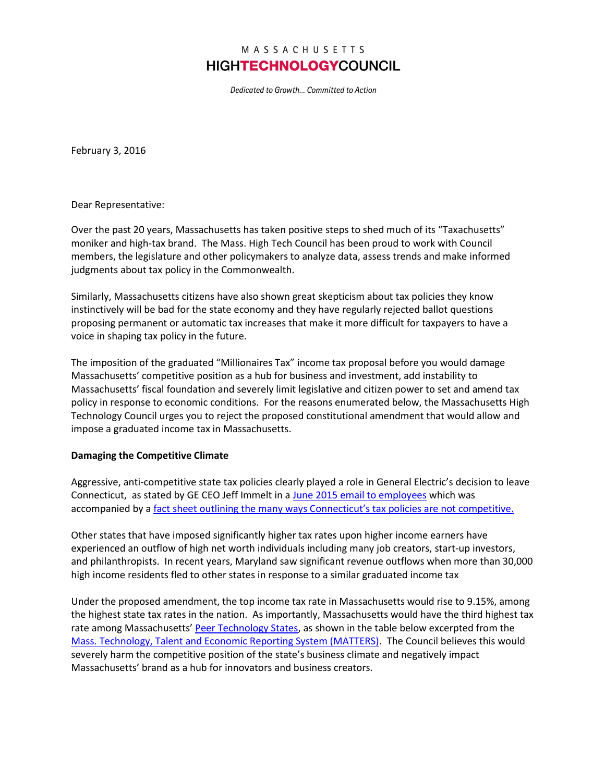## MASSACHUSETTS **HIGHTECHNOLOGYCOUNCIL**

Dedicated to Growth... Committed to Action

February 3, 2016

Dear Representative:

Over the past 20 years, Massachusetts has taken positive steps to shed much of its "Taxachusetts" moniker and high-tax brand. The Mass. High Tech Council has been proud to work with Council members, the legislature and other policymakers to analyze data, assess trends and make informed judgments about tax policy in the Commonwealth.

Similarly, Massachusetts citizens have also shown great skepticism about tax policies they know instinctively will be bad for the state economy and they have regularly rejected ballot questions proposing permanent or automatic tax increases that make it more difficult for taxpayers to have a voice in shaping tax policy in the future.

The imposition of the graduated "Millionaires Tax" income tax proposal before you would damage Massachusetts' competitive position as a hub for business and investment, add instability to Massachusetts' fiscal foundation and severely limit legislative and citizen power to set and amend tax policy in response to economic conditions. For the reasons enumerated below, the Massachusetts High Technology Council urges you to reject the proposed constitutional amendment that would allow and impose a graduated income tax in Massachusetts.

## **Damaging the Competitive Climate**

Aggressive, anti-competitive state tax policies clearly played a role in General Electric's decision to leave Connecticut, as stated by GE CEO Jeff Immelt in a [June 2015 email to employees](http://c3.nrostatic.com/sites/default/files/ge-relocation-letter-connecticut-jeff-immelt.jpg) which was accompanied by a [fact sheet outlining the many ways C](http://c1.nrostatic.com/sites/default/files/Connecticut%20Fact%20Sheet.pdf)onnecticut's tax policies are not competitive.

Other states that have imposed significantly higher tax rates upon higher income earners have experienced an outflow of high net worth individuals including many job creators, start-up investors, and philanthropists. In recent years, Maryland saw significant revenue outflows when more than 30,000 high income residents fled to other states in response to a similar graduated income tax

Under the proposed amendment, the top income tax rate in Massachusetts would rise to 9.15%, among the highest state tax rates in the nation. As importantly, Massachusetts would have the third highest tax rate among Massachusetts' [Peer Technology States,](http://matters.mhtc.org/about) as shown in the table below excerpted from the [Mass. Technology, Talent and Economic Reporting System \(MATTERS\).](http://matters.mhtc.org/about) The Council believes this would severely harm the competitive position of the state's business climate and negatively impact Massachusetts' brand as a hub for innovators and business creators.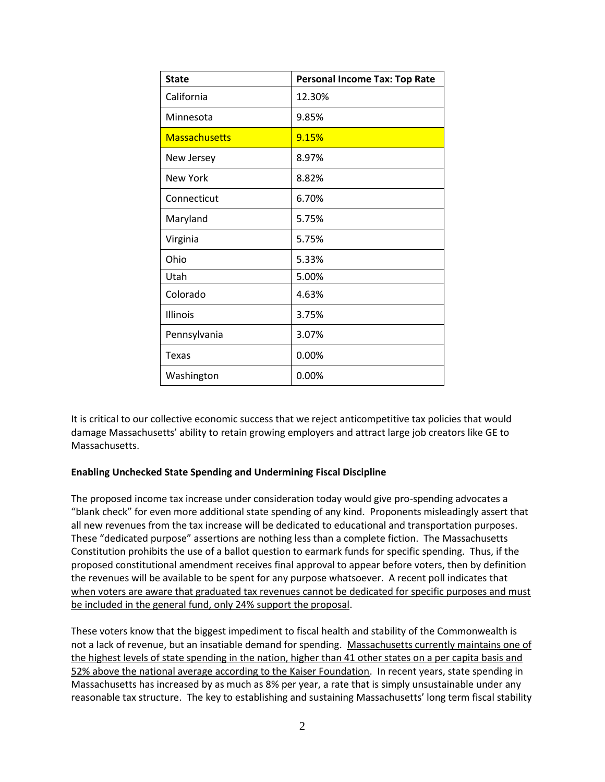| <b>State</b>         | <b>Personal Income Tax: Top Rate</b> |
|----------------------|--------------------------------------|
| California           | 12.30%                               |
| Minnesota            | 9.85%                                |
| <b>Massachusetts</b> | 9.15%                                |
| New Jersey           | 8.97%                                |
| <b>New York</b>      | 8.82%                                |
| Connecticut          | 6.70%                                |
| Maryland             | 5.75%                                |
| Virginia             | 5.75%                                |
| Ohio                 | 5.33%                                |
| Utah                 | 5.00%                                |
| Colorado             | 4.63%                                |
| <b>Illinois</b>      | 3.75%                                |
| Pennsylvania         | 3.07%                                |
| Texas                | 0.00%                                |
| Washington           | 0.00%                                |

It is critical to our collective economic success that we reject anticompetitive tax policies that would damage Massachusetts' ability to retain growing employers and attract large job creators like GE to Massachusetts.

## **Enabling Unchecked State Spending and Undermining Fiscal Discipline**

The proposed income tax increase under consideration today would give pro-spending advocates a "blank check" for even more additional state spending of any kind. Proponents misleadingly assert that all new revenues from the tax increase will be dedicated to educational and transportation purposes. These "dedicated purpose" assertions are nothing less than a complete fiction. The Massachusetts Constitution prohibits the use of a ballot question to earmark funds for specific spending. Thus, if the proposed constitutional amendment receives final approval to appear before voters, then by definition the revenues will be available to be spent for any purpose whatsoever. A recent poll indicates that when voters are aware that graduated tax revenues cannot be dedicated for specific purposes and must be included in the general fund, only 24% support the proposal.

These voters know that the biggest impediment to fiscal health and stability of the Commonwealth is not a lack of revenue, but an insatiable demand for spending. Massachusetts currently maintains one of the highest levels of state spending in the nation, higher than 41 other states on a per capita basis and 52% above the national average according to the Kaiser Foundation. In recent years, state spending in Massachusetts has increased by as much as 8% per year, a rate that is simply unsustainable under any reasonable tax structure. The key to establishing and sustaining Massachusetts' long term fiscal stability